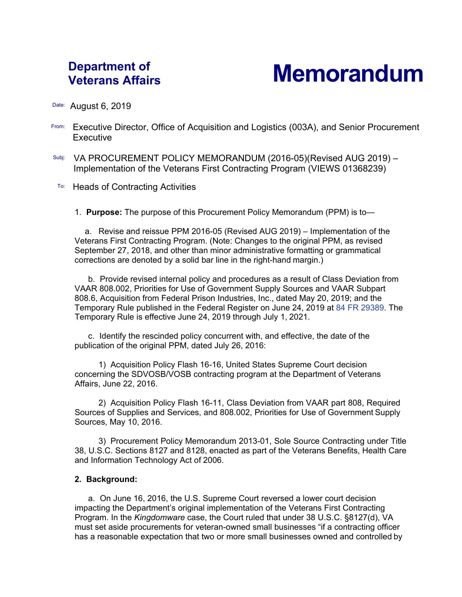# **Department of**

# **Veterans Affairs Memorandum**

#### Date: August 6, 2019

- From: Executive Director, Office of Acquisition and Logistics (003A), and Senior Procurement **Executive**
- Subj: VA PROCUREMENT POLICY MEMORANDUM (2016-05)(Revised AUG 2019) -Implementation of the Veterans First Contracting Program (VIEWS 01368239)
- **To:** Heads of Contracting Activities

#### 1. **Purpose:** The purpose of this Procurement Policy Memorandum (PPM) is to—

a. Revise and reissue PPM 2016-05 (Revised AUG 2019) – Implementation of the Veterans First Contracting Program. (Note: Changes to the original PPM, as revised September 27, 2018, and other than minor administrative formatting or grammatical corrections are denoted by a solid bar line in the right-hand margin.)

b. Provide revised internal policy and procedures as a result of Class Deviation from VAAR 808.002, Priorities for Use of Government Supply Sources and VAAR Subpart 808.6, Acquisition from Federal Prison Industries, Inc., dated May 20, 2019; and the Temporary Rule published in the Federal Register on June 24, 2019 at [84 FR 29389.](https://www.govinfo.gov/content/pkg/FR-2019-06-24/pdf/2019-13217.pdf) The Temporary Rule is effective June 24, 2019 through July 1, 2021.

c. Identify the rescinded policy concurrent with, and effective, the date of the publication of the original PPM, dated July 26, 2016:

1) Acquisition Policy Flash 16-16, United States Supreme Court decision concerning the SDVOSB/VOSB contracting program at the Department of Veterans Affairs, June 22, 2016.

2) Acquisition Policy Flash 16-11, Class Deviation from VAAR part 808, Required Sources of Supplies and Services, and 808.002, Priorities for Use of Government Supply Sources, May 10, 2016.

3) Procurement Policy Memorandum 2013-01, Sole Source Contracting under Title 38, U.S.C. Sections 8127 and 8128, enacted as part of the Veterans Benefits, Health Care and Information Technology Act of 2006.

#### **2. Background:**

a. On June 16, 2016, the U.S. Supreme Court reversed a lower court decision impacting the Department's original implementation of the Veterans First Contracting Program. In the *Kingdomware* case, the Court ruled that under 38 U.S.C. §8127(d), VA must set aside procurements for veteran-owned small businesses "if a contracting officer has a reasonable expectation that two or more small businesses owned and controlled by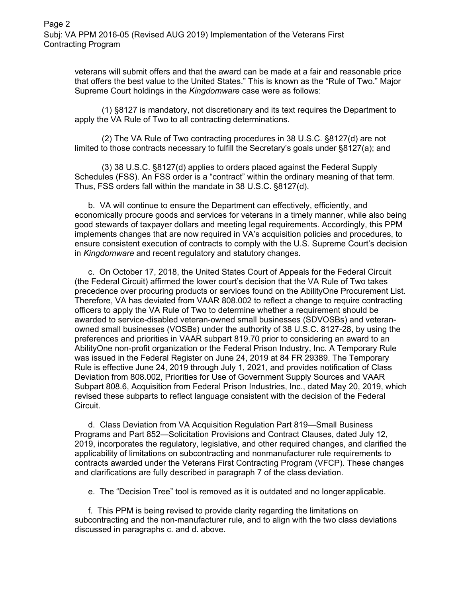veterans will submit offers and that the award can be made at a fair and reasonable price that offers the best value to the United States." This is known as the "Rule of Two." Major Supreme Court holdings in the *Kingdomware* case were as follows:

(1) §8127 is mandatory, not discretionary and its text requires the Department to apply the VA Rule of Two to all contracting determinations.

(2) The VA Rule of Two contracting procedures in 38 U.S.C. §8127(d) are not limited to those contracts necessary to fulfill the Secretary's goals under §8127(a); and

(3) 38 U.S.C. §8127(d) applies to orders placed against the Federal Supply Schedules (FSS). An FSS order is a "contract" within the ordinary meaning of that term. Thus, FSS orders fall within the mandate in 38 U.S.C. §8127(d).

b. VA will continue to ensure the Department can effectively, efficiently, and economically procure goods and services for veterans in a timely manner, while also being good stewards of taxpayer dollars and meeting legal requirements. Accordingly, this PPM implements changes that are now required in VA's acquisition policies and procedures, to ensure consistent execution of contracts to comply with the U.S. Supreme Court's decision in *Kingdomware* and recent regulatory and statutory changes.

c. On October 17, 2018, the United States Court of Appeals for the Federal Circuit (the Federal Circuit) affirmed the lower court's decision that the VA Rule of Two takes precedence over procuring products or services found on the AbilityOne Procurement List. Therefore, VA has deviated from VAAR 808.002 to reflect a change to require contracting officers to apply the VA Rule of Two to determine whether a requirement should be awarded to service-disabled veteran-owned small businesses (SDVOSBs) and veteranowned small businesses (VOSBs) under the authority of 38 U.S.C. 8127-28, by using the preferences and priorities in VAAR subpart 819.70 prior to considering an award to an AbilityOne non-profit organization or the Federal Prison Industry, Inc. A Temporary Rule was issued in the Federal Register on June 24, 2019 at 84 FR 29389. The Temporary Rule is effective June 24, 2019 through July 1, 2021, and provides notification of Class Deviation from 808.002, Priorities for Use of Government Supply Sources and VAAR Subpart 808.6, Acquisition from Federal Prison Industries, Inc., dated May 20, 2019, which revised these subparts to reflect language consistent with the decision of the Federal Circuit.

d. Class Deviation from VA Acquisition Regulation Part 819—Small Business Programs and Part 852—Solicitation Provisions and Contract Clauses, dated July 12, 2019, incorporates the regulatory, legislative, and other required changes, and clarified the applicability of limitations on subcontracting and nonmanufacturer rule requirements to contracts awarded under the Veterans First Contracting Program (VFCP). These changes and clarifications are fully described in paragraph 7 of the class deviation.

e. The "Decision Tree" tool is removed as it is outdated and no longer applicable.

f. This PPM is being revised to provide clarity regarding the limitations on subcontracting and the non-manufacturer rule, and to align with the two class deviations discussed in paragraphs c. and d. above.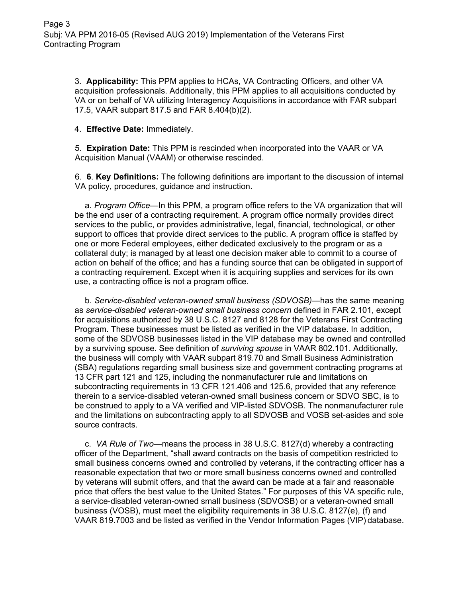3. **Applicability:** This PPM applies to HCAs, VA Contracting Officers, and other VA acquisition professionals. Additionally, this PPM applies to all acquisitions conducted by VA or on behalf of VA utilizing Interagency Acquisitions in accordance with FAR subpart 17.5, VAAR subpart 817.5 and FAR 8.404(b)(2).

4. **Effective Date:** Immediately.

5. **Expiration Date:** This PPM is rescinded when incorporated into the VAAR or VA Acquisition Manual (VAAM) or otherwise rescinded.

6. **6**. **Key Definitions:** The following definitions are important to the discussion of internal VA policy, procedures, guidance and instruction.

a. *Program Office*—In this PPM, a program office refers to the VA organization that will be the end user of a contracting requirement. A program office normally provides direct services to the public, or provides administrative, legal, financial, technological, or other support to offices that provide direct services to the public. A program office is staffed by one or more Federal employees, either dedicated exclusively to the program or as a collateral duty; is managed by at least one decision maker able to commit to a course of action on behalf of the office; and has a funding source that can be obligated in support of a contracting requirement. Except when it is acquiring supplies and services for its own use, a contracting office is not a program office.

b. *Service-disabled veteran-owned small business (SDVOSB)—*has the same meaning as *service-disabled veteran-owned small business concern* defined in FAR 2.101, except for acquisitions authorized by 38 U.S.C. 8127 and 8128 for the Veterans First Contracting Program. These businesses must be listed as verified in the VIP database. In addition, some of the SDVOSB businesses listed in the VIP database may be owned and controlled by a surviving spouse. See definition of *surviving spouse* in VAAR 802.101. Additionally, the business will comply with VAAR subpart 819.70 and Small Business Administration (SBA) regulations regarding small business size and government contracting programs at 13 CFR part 121 and 125, including the nonmanufacturer rule and limitations on subcontracting requirements in 13 CFR 121.406 and 125.6, provided that any reference therein to a service-disabled veteran-owned small business concern or SDVO SBC, is to be construed to apply to a VA verified and VIP-listed SDVOSB. The nonmanufacturer rule and the limitations on subcontracting apply to all SDVOSB and VOSB set-asides and sole source contracts.

c. *VA Rule of Two—*means the process in 38 U.S.C. 8127(d) whereby a contracting officer of the Department, "shall award contracts on the basis of competition restricted to small business concerns owned and controlled by veterans, if the contracting officer has a reasonable expectation that two or more small business concerns owned and controlled by veterans will submit offers, and that the award can be made at a fair and reasonable price that offers the best value to the United States." For purposes of this VA specific rule, a service-disabled veteran-owned small business (SDVOSB) or a veteran-owned small business (VOSB), must meet the eligibility requirements in 38 U.S.C. 8127(e), (f) and VAAR 819.7003 and be listed as verified in the Vendor Information Pages (VIP) database.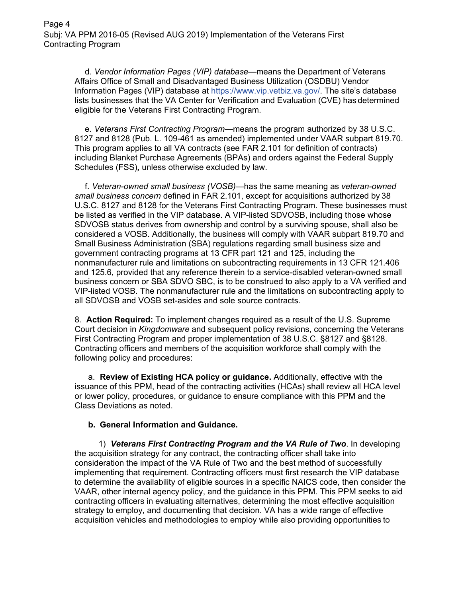d. *Vendor Information Pages (VIP) database—*means the Department of Veterans Affairs Office of Small and Disadvantaged Business Utilization (OSDBU) Vendor Information Pages (VIP) database at [https://www.vip.vetbiz.va.gov/.](https://www.vip.vetbiz.va.gov/) The site's database lists businesses that the VA Center for Verification and Evaluation (CVE) has determined eligible for the Veterans First Contracting Program.

e. *Veterans First Contracting Program—*means the program authorized by 38 U.S.C. 8127 and 8128 (Pub. L. 109-461 as amended) implemented under VAAR subpart 819.70. This program applies to all VA contracts (see FAR 2.101 for definition of contracts) including Blanket Purchase Agreements (BPAs) and orders against the Federal Supply Schedules (FSS)*,* unless otherwise excluded by law.

f. *Veteran-owned small business (VOSB)—*has the same meaning as *veteran-owned small business concern* defined in FAR 2.101, except for acquisitions authorized by 38 U.S.C. 8127 and 8128 for the Veterans First Contracting Program. These businesses must be listed as verified in the VIP database. A VIP-listed SDVOSB, including those whose SDVOSB status derives from ownership and control by a surviving spouse, shall also be considered a VOSB. Additionally, the business will comply with VAAR subpart 819.70 and Small Business Administration (SBA) regulations regarding small business size and government contracting programs at 13 CFR part 121 and 125, including the nonmanufacturer rule and limitations on subcontracting requirements in 13 CFR 121.406 and 125.6, provided that any reference therein to a service-disabled veteran-owned small business concern or SBA SDVO SBC, is to be construed to also apply to a VA verified and VIP-listed VOSB. The nonmanufacturer rule and the limitations on subcontracting apply to all SDVOSB and VOSB set-asides and sole source contracts.

8. **Action Required:** To implement changes required as a result of the U.S. Supreme Court decision in *Kingdomware* and subsequent policy revisions, concerning the Veterans First Contracting Program and proper implementation of 38 U.S.C. §8127 and §8128. Contracting officers and members of the acquisition workforce shall comply with the following policy and procedures:

a. **Review of Existing HCA policy or guidance.** Additionally, effective with the issuance of this PPM, head of the contracting activities (HCAs) shall review all HCA level or lower policy, procedures, or guidance to ensure compliance with this PPM and the Class Deviations as noted.

# **b. General Information and Guidance.**

1) *Veterans First Contracting Program and the VA Rule of Two*. In developing the acquisition strategy for any contract, the contracting officer shall take into consideration the impact of the VA Rule of Two and the best method of successfully implementing that requirement. Contracting officers must first research the VIP database to determine the availability of eligible sources in a specific NAICS code, then consider the VAAR, other internal agency policy, and the guidance in this PPM. This PPM seeks to aid contracting officers in evaluating alternatives, determining the most effective acquisition strategy to employ, and documenting that decision. VA has a wide range of effective acquisition vehicles and methodologies to employ while also providing opportunities to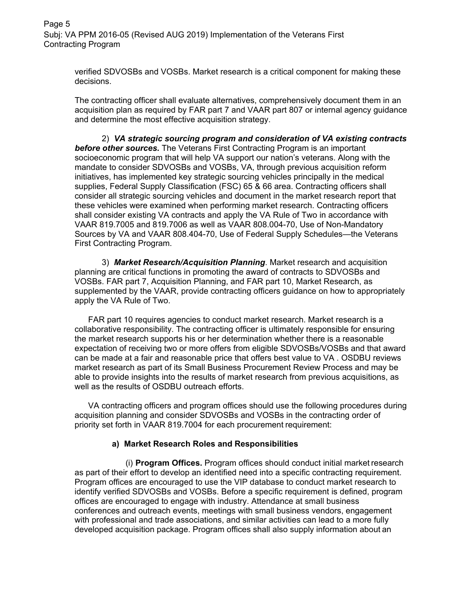Page 5 Subj: VA PPM 2016-05 (Revised AUG 2019) Implementation of the Veterans First Contracting Program

> verified SDVOSBs and VOSBs. Market research is a critical component for making these decisions.

The contracting officer shall evaluate alternatives, comprehensively document them in an acquisition plan as required by FAR part 7 and VAAR part 807 or internal agency guidance and determine the most effective acquisition strategy.

2) *VA strategic sourcing program and consideration of VA existing contracts before other sources.* The Veterans First Contracting Program is an important socioeconomic program that will help VA support our nation's veterans. Along with the mandate to consider SDVOSBs and VOSBs, VA, through previous acquisition reform initiatives, has implemented key strategic sourcing vehicles principally in the medical supplies, Federal Supply Classification (FSC) 65 & 66 area. Contracting officers shall consider all strategic sourcing vehicles and document in the market research report that these vehicles were examined when performing market research. Contracting officers shall consider existing VA contracts and apply the VA Rule of Two in accordance with VAAR 819.7005 and 819.7006 as well as VAAR 808.004-70, Use of Non-Mandatory Sources by VA and VAAR 808.404-70, Use of Federal Supply Schedules—the Veterans First Contracting Program.

3) *Market Research/Acquisition Planning*. Market research and acquisition planning are critical functions in promoting the award of contracts to SDVOSBs and VOSBs. FAR part 7, Acquisition Planning, and FAR part 10, Market Research, as supplemented by the VAAR, provide contracting officers guidance on how to appropriately apply the VA Rule of Two.

FAR part 10 requires agencies to conduct market research. Market research is a collaborative responsibility. The contracting officer is ultimately responsible for ensuring the market research supports his or her determination whether there is a reasonable expectation of receiving two or more offers from eligible SDVOSBs/VOSBs and that award can be made at a fair and reasonable price that offers best value to VA . OSDBU reviews market research as part of its Small Business Procurement Review Process and may be able to provide insights into the results of market research from previous acquisitions, as well as the results of OSDBU outreach efforts.

VA contracting officers and program offices should use the following procedures during acquisition planning and consider SDVOSBs and VOSBs in the contracting order of priority set forth in VAAR 819.7004 for each procurement requirement:

#### **a) Market Research Roles and Responsibilities**

(i) **Program Offices.** Program offices should conduct initial market research as part of their effort to develop an identified need into a specific contracting requirement. Program offices are encouraged to use the VIP database to conduct market research to identify verified SDVOSBs and VOSBs. Before a specific requirement is defined, program offices are encouraged to engage with industry. Attendance at small business conferences and outreach events, meetings with small business vendors, engagement with professional and trade associations, and similar activities can lead to a more fully developed acquisition package. Program offices shall also supply information about an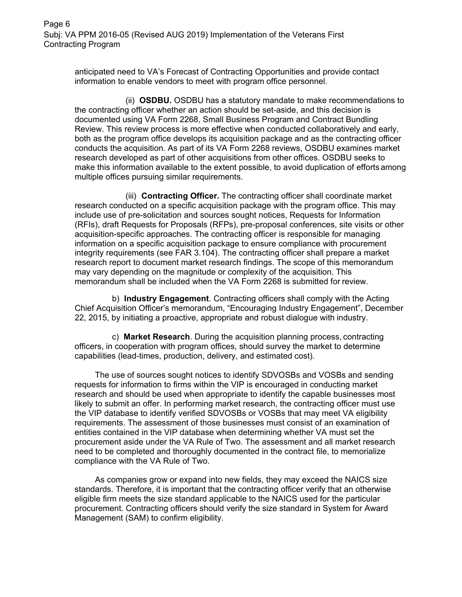Page 6 Subj: VA PPM 2016-05 (Revised AUG 2019) Implementation of the Veterans First Contracting Program

> anticipated need to VA's Forecast of Contracting Opportunities and provide contact information to enable vendors to meet with program office personnel.

(ii) **OSDBU.** OSDBU has a statutory mandate to make recommendations to the contracting officer whether an action should be set-aside, and this decision is documented using VA Form 2268, Small Business Program and Contract Bundling Review. This review process is more effective when conducted collaboratively and early, both as the program office develops its acquisition package and as the contracting officer conducts the acquisition. As part of its VA Form 2268 reviews, OSDBU examines market research developed as part of other acquisitions from other offices. OSDBU seeks to make this information available to the extent possible, to avoid duplication of efforts among multiple offices pursuing similar requirements.

(iii) **Contracting Officer.** The contracting officer shall coordinate market research conducted on a specific acquisition package with the program office. This may include use of pre-solicitation and sources sought notices, Requests for Information (RFIs), draft Requests for Proposals (RFPs), pre-proposal conferences, site visits or other acquisition-specific approaches. The contracting officer is responsible for managing information on a specific acquisition package to ensure compliance with procurement integrity requirements (see FAR 3.104). The contracting officer shall prepare a market research report to document market research findings. The scope of this memorandum may vary depending on the magnitude or complexity of the acquisition. This memorandum shall be included when the VA Form 2268 is submitted for review.

b) **Industry Engagement**. Contracting officers shall comply with the Acting Chief Acquisition Officer's memorandum, "Encouraging Industry Engagement", December 22, 2015, by initiating a proactive, appropriate and robust dialogue with industry.

c) **Market Research**. During the acquisition planning process, contracting officers, in cooperation with program offices, should survey the market to determine capabilities (lead-times, production, delivery, and estimated cost).

The use of sources sought notices to identify SDVOSBs and VOSBs and sending requests for information to firms within the VIP is encouraged in conducting market research and should be used when appropriate to identify the capable businesses most likely to submit an offer. In performing market research, the contracting officer must use the VIP database to identify verified SDVOSBs or VOSBs that may meet VA eligibility requirements. The assessment of those businesses must consist of an examination of entities contained in the VIP database when determining whether VA must set the procurement aside under the VA Rule of Two. The assessment and all market research need to be completed and thoroughly documented in the contract file, to memorialize compliance with the VA Rule of Two.

As companies grow or expand into new fields, they may exceed the NAICS size standards. Therefore, it is important that the contracting officer verify that an otherwise eligible firm meets the size standard applicable to the NAICS used for the particular procurement. Contracting officers should verify the size standard in System for Award Management (SAM) to confirm eligibility.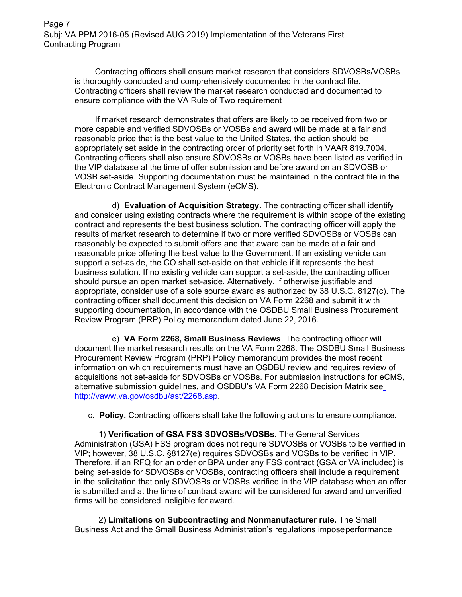Page 7 Subj: VA PPM 2016-05 (Revised AUG 2019) Implementation of the Veterans First Contracting Program

Contracting officers shall ensure market research that considers SDVOSBs/VOSBs is thoroughly conducted and comprehensively documented in the contract file. Contracting officers shall review the market research conducted and documented to ensure compliance with the VA Rule of Two requirement

If market research demonstrates that offers are likely to be received from two or more capable and verified SDVOSBs or VOSBs and award will be made at a fair and reasonable price that is the best value to the United States, the action should be appropriately set aside in the contracting order of priority set forth in VAAR 819.7004. Contracting officers shall also ensure SDVOSBs or VOSBs have been listed as verified in the VIP database at the time of offer submission and before award on an SDVOSB or VOSB set-aside. Supporting documentation must be maintained in the contract file in the Electronic Contract Management System (eCMS).

d) **Evaluation of Acquisition Strategy.** The contracting officer shall identify and consider using existing contracts where the requirement is within scope of the existing contract and represents the best business solution. The contracting officer will apply the results of market research to determine if two or more verified SDVOSBs or VOSBs can reasonably be expected to submit offers and that award can be made at a fair and reasonable price offering the best value to the Government. If an existing vehicle can support a set-aside, the CO shall set-aside on that vehicle if it represents the best business solution. If no existing vehicle can support a set-aside, the contracting officer should pursue an open market set-aside. Alternatively, if otherwise justifiable and appropriate, consider use of a sole source award as authorized by 38 U.S.C. 8127(c). The contracting officer shall document this decision on VA Form 2268 and submit it with supporting documentation, in accordance with the OSDBU Small Business Procurement Review Program (PRP) Policy memorandum dated June 22, 2016.

e) **VA Form 2268, Small Business Reviews**. The contracting officer will document the market research results on the VA Form 2268. The OSDBU Small Business Procurement Review Program (PRP) Policy memorandum provides the most recent information on which requirements must have an OSDBU review and requires review of acquisitions not set-aside for SDVOSBs or VOSBs. For submission instructions for eCMS, alternative submission guidelines, and OSDBU's VA Form 2268 Decision Matrix see [http://vaww.va.gov/osdbu/ast/2268.asp.](http://vaww.va.gov/osdbu/ast/2268.asp)

c. **Policy.** Contracting officers shall take the following actions to ensure compliance.

1) **Verification of GSA FSS SDVOSBs/VOSBs.** The General Services Administration (GSA) FSS program does not require SDVOSBs or VOSBs to be verified in VIP; however, 38 U.S.C. §8127(e) requires SDVOSBs and VOSBs to be verified in VIP. Therefore, if an RFQ for an order or BPA under any FSS contract (GSA or VA included) is being set-aside for SDVOSBs or VOSBs, contracting officers shall include a requirement in the solicitation that only SDVOSBs or VOSBs verified in the VIP database when an offer is submitted and at the time of contract award will be considered for award and unverified firms will be considered ineligible for award.

2) **Limitations on Subcontracting and Nonmanufacturer rule.** The Small Business Act and the Small Business Administration's regulations imposeperformance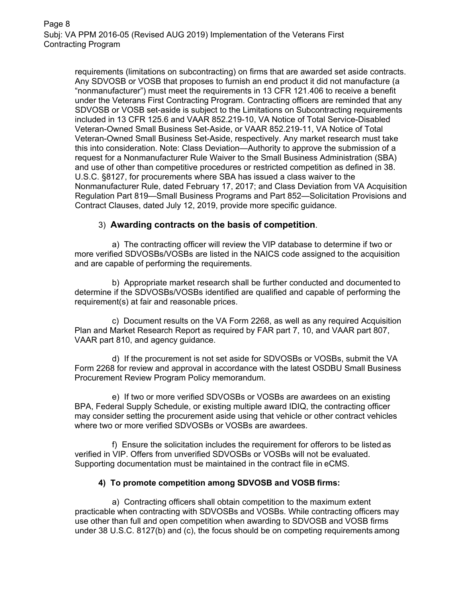requirements (limitations on subcontracting) on firms that are awarded set aside contracts. Any SDVOSB or VOSB that proposes to furnish an end product it did not manufacture (a "nonmanufacturer") must meet the requirements in 13 CFR 121.406 to receive a benefit under the Veterans First Contracting Program. Contracting officers are reminded that any SDVOSB or VOSB set-aside is subject to the Limitations on Subcontracting requirements included in 13 CFR 125.6 and VAAR 852.219-10, VA Notice of Total Service-Disabled Veteran-Owned Small Business Set-Aside, or VAAR 852.219-11, VA Notice of Total Veteran-Owned Small Business Set-Aside, respectively. Any market research must take this into consideration. Note: Class Deviation—Authority to approve the submission of a request for a Nonmanufacturer Rule Waiver to the Small Business Administration (SBA) and use of other than competitive procedures or restricted competition as defined in 38. U.S.C. §8127, for procurements where SBA has issued a class waiver to the Nonmanufacturer Rule, dated February 17, 2017; and Class Deviation from VA Acquisition Regulation Part 819—Small Business Programs and Part 852—Solicitation Provisions and Contract Clauses, dated July 12, 2019, provide more specific guidance.

# 3) **Awarding contracts on the basis of competition**.

a) The contracting officer will review the VIP database to determine if two or more verified SDVOSBs/VOSBs are listed in the NAICS code assigned to the acquisition and are capable of performing the requirements.

b) Appropriate market research shall be further conducted and documented to determine if the SDVOSBs/VOSBs identified are qualified and capable of performing the requirement(s) at fair and reasonable prices.

c) Document results on the VA Form 2268, as well as any required Acquisition Plan and Market Research Report as required by FAR part 7, 10, and VAAR part 807, VAAR part 810, and agency guidance.

d) If the procurement is not set aside for SDVOSBs or VOSBs, submit the VA Form 2268 for review and approval in accordance with the latest OSDBU Small Business Procurement Review Program Policy memorandum.

e) If two or more verified SDVOSBs or VOSBs are awardees on an existing BPA, Federal Supply Schedule, or existing multiple award IDIQ, the contracting officer may consider setting the procurement aside using that vehicle or other contract vehicles where two or more verified SDVOSBs or VOSBs are awardees.

f) Ensure the solicitation includes the requirement for offerors to be listed as verified in VIP. Offers from unverified SDVOSBs or VOSBs will not be evaluated. Supporting documentation must be maintained in the contract file in eCMS.

# **4) To promote competition among SDVOSB and VOSB firms:**

a) Contracting officers shall obtain competition to the maximum extent practicable when contracting with SDVOSBs and VOSBs. While contracting officers may use other than full and open competition when awarding to SDVOSB and VOSB firms under 38 U.S.C. 8127(b) and (c), the focus should be on competing requirements among